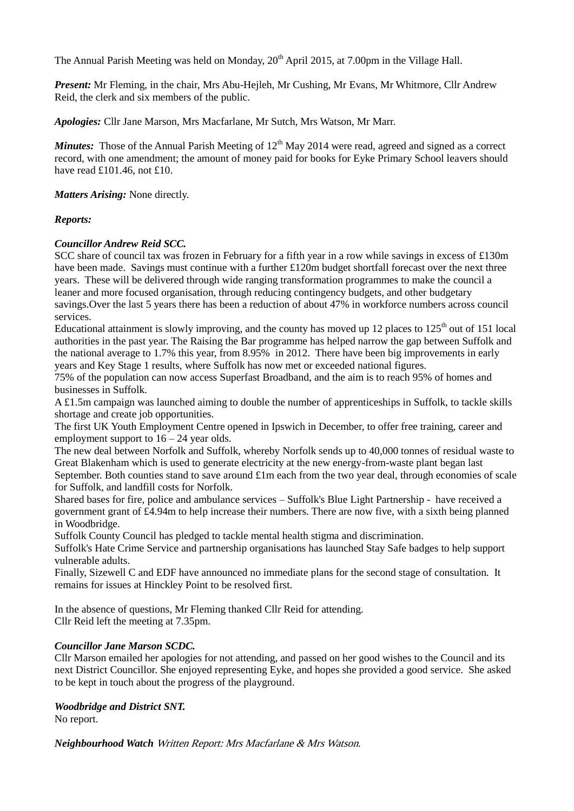The Annual Parish Meeting was held on Monday,  $20<sup>th</sup>$  April 2015, at 7.00pm in the Village Hall.

*Present:* Mr Fleming, in the chair, Mrs Abu-Hejleh, Mr Cushing, Mr Evans, Mr Whitmore, Cllr Andrew Reid, the clerk and six members of the public.

*Apologies:* Cllr Jane Marson, Mrs Macfarlane, Mr Sutch, Mrs Watson, Mr Marr.

*Minutes:* Those of the Annual Parish Meeting of  $12<sup>th</sup>$  May 2014 were read, agreed and signed as a correct record, with one amendment; the amount of money paid for books for Eyke Primary School leavers should have read £101.46, not £10.

*Matters Arising:* None directly.

### *Reports:*

## *Councillor Andrew Reid SCC.*

SCC share of council tax was frozen in February for a fifth year in a row while savings in excess of £130m have been made. Savings must continue with a further £120m budget shortfall forecast over the next three years. These will be delivered through wide ranging transformation programmes to make the council a leaner and more focused organisation, through reducing contingency budgets, and other budgetary savings.Over the last 5 years there has been a reduction of about 47% in workforce numbers across council services.

Educational attainment is slowly improving, and the county has moved up 12 places to  $125<sup>th</sup>$  out of 151 local authorities in the past year. The Raising the Bar programme has helped narrow the gap between Suffolk and the national average to 1.7% this year, from 8.95% in 2012. There have been big improvements in early years and Key Stage 1 results, where Suffolk has now met or exceeded national figures.

75% of the population can now access Superfast Broadband, and the aim is to reach 95% of homes and businesses in Suffolk.

A £1.5m campaign was launched aiming to double the number of apprenticeships in Suffolk, to tackle skills shortage and create job opportunities.

The first UK Youth Employment Centre opened in Ipswich in December, to offer free training, career and employment support to  $16 - 24$  year olds.

The new deal between Norfolk and Suffolk, whereby Norfolk sends up to 40,000 tonnes of residual waste to Great Blakenham which is used to generate electricity at the new energy-from-waste plant began last September. Both counties stand to save around £1m each from the two year deal, through economies of scale for Suffolk, and landfill costs for Norfolk.

Shared bases for fire, police and ambulance services – Suffolk's Blue Light Partnership - have received a government grant of £4.94m to help increase their numbers. There are now five, with a sixth being planned in Woodbridge.

Suffolk County Council has pledged to tackle mental health stigma and discrimination.

Suffolk's Hate Crime Service and partnership organisations has launched Stay Safe badges to help support vulnerable adults.

Finally, Sizewell C and EDF have announced no immediate plans for the second stage of consultation. It remains for issues at Hinckley Point to be resolved first.

In the absence of questions, Mr Fleming thanked Cllr Reid for attending. Cllr Reid left the meeting at 7.35pm.

### *Councillor Jane Marson SCDC.*

Cllr Marson emailed her apologies for not attending, and passed on her good wishes to the Council and its next District Councillor. She enjoyed representing Eyke, and hopes she provided a good service. She asked to be kept in touch about the progress of the playground.

# *Woodbridge and District SNT.*

No report.

*Neighbourhood Watch* Written Report: Mrs Macfarlane & Mrs Watson.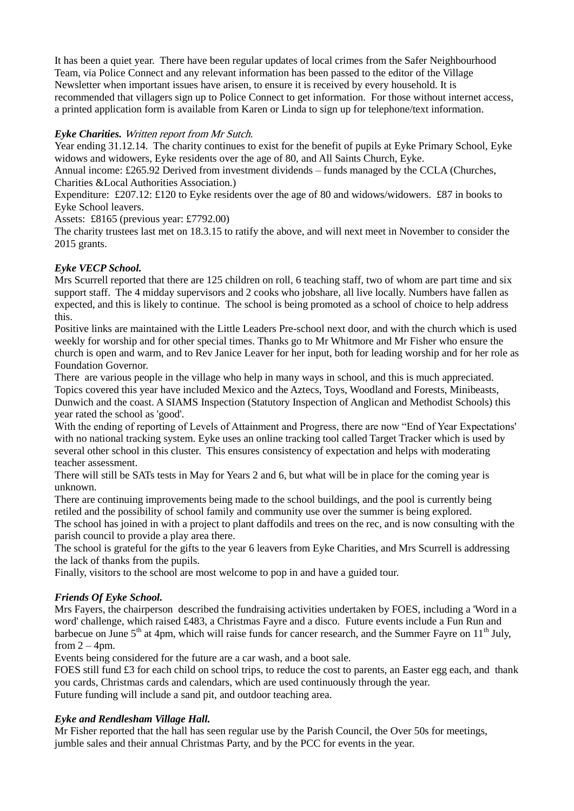It has been a quiet year. There have been regular updates of local crimes from the Safer Neighbourhood Team, via Police Connect and any relevant information has been passed to the editor of the Village Newsletter when important issues have arisen, to ensure it is received by every household. It is recommended that villagers sign up to Police Connect to get information. For those without internet access, a printed application form is available from Karen or Linda to sign up for telephone/text information.

## *Eyke Charities.* Written report from Mr Sutch.

Year ending 31.12.14. The charity continues to exist for the benefit of pupils at Eyke Primary School, Eyke widows and widowers, Eyke residents over the age of 80, and All Saints Church, Eyke.

Annual income: £265.92 Derived from investment dividends – funds managed by the CCLA (Churches, Charities &Local Authorities Association.)

Expenditure: £207.12: £120 to Eyke residents over the age of 80 and widows/widowers. £87 in books to Eyke School leavers.

Assets: £8165 (previous year: £7792.00)

The charity trustees last met on 18.3.15 to ratify the above, and will next meet in November to consider the 2015 grants.

# *Eyke VECP School.*

Mrs Scurrell reported that there are 125 children on roll, 6 teaching staff, two of whom are part time and six support staff. The 4 midday supervisors and 2 cooks who jobshare, all live locally. Numbers have fallen as expected, and this is likely to continue. The school is being promoted as a school of choice to help address this.

Positive links are maintained with the Little Leaders Pre-school next door, and with the church which is used weekly for worship and for other special times. Thanks go to Mr Whitmore and Mr Fisher who ensure the church is open and warm, and to Rev Janice Leaver for her input, both for leading worship and for her role as Foundation Governor.

There are various people in the village who help in many ways in school, and this is much appreciated. Topics covered this year have included Mexico and the Aztecs, Toys, Woodland and Forests, Minibeasts, Dunwich and the coast. A SIAMS Inspection (Statutory Inspection of Anglican and Methodist Schools) this year rated the school as 'good'.

With the ending of reporting of Levels of Attainment and Progress, there are now "End of Year Expectations' with no national tracking system. Eyke uses an online tracking tool called Target Tracker which is used by several other school in this cluster. This ensures consistency of expectation and helps with moderating teacher assessment.

There will still be SATs tests in May for Years 2 and 6, but what will be in place for the coming year is unknown.

There are continuing improvements being made to the school buildings, and the pool is currently being retiled and the possibility of school family and community use over the summer is being explored.

The school has joined in with a project to plant daffodils and trees on the rec, and is now consulting with the parish council to provide a play area there.

The school is grateful for the gifts to the year 6 leavers from Eyke Charities, and Mrs Scurrell is addressing the lack of thanks from the pupils.

Finally, visitors to the school are most welcome to pop in and have a guided tour.

## *Friends Of Eyke School.*

Mrs Fayers, the chairperson described the fundraising activities undertaken by FOES, including a 'Word in a word' challenge, which raised £483, a Christmas Fayre and a disco. Future events include a Fun Run and barbecue on June  $5<sup>th</sup>$  at 4pm, which will raise funds for cancer research, and the Summer Fayre on  $11<sup>th</sup>$  July, from  $2 - 4$ pm.

Events being considered for the future are a car wash, and a boot sale.

FOES still fund £3 for each child on school trips, to reduce the cost to parents, an Easter egg each, and thank you cards, Christmas cards and calendars, which are used continuously through the year. Future funding will include a sand pit, and outdoor teaching area.

## *Eyke and Rendlesham Village Hall.*

Mr Fisher reported that the hall has seen regular use by the Parish Council, the Over 50s for meetings, jumble sales and their annual Christmas Party, and by the PCC for events in the year.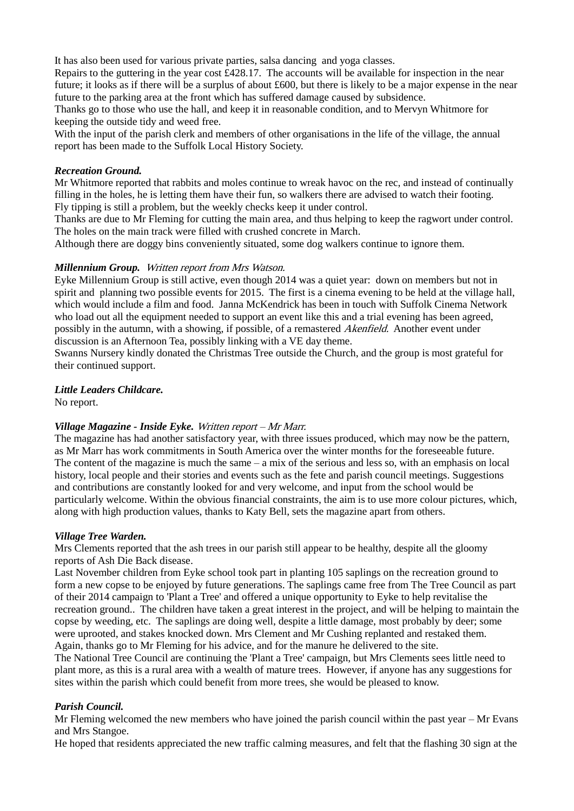It has also been used for various private parties, salsa dancing and yoga classes.

Repairs to the guttering in the year cost £428.17. The accounts will be available for inspection in the near future; it looks as if there will be a surplus of about £600, but there is likely to be a major expense in the near future to the parking area at the front which has suffered damage caused by subsidence.

Thanks go to those who use the hall, and keep it in reasonable condition, and to Mervyn Whitmore for keeping the outside tidy and weed free.

With the input of the parish clerk and members of other organisations in the life of the village, the annual report has been made to the Suffolk Local History Society.

#### *Recreation Ground.*

Mr Whitmore reported that rabbits and moles continue to wreak havoc on the rec, and instead of continually filling in the holes, he is letting them have their fun, so walkers there are advised to watch their footing. Fly tipping is still a problem, but the weekly checks keep it under control.

Thanks are due to Mr Fleming for cutting the main area, and thus helping to keep the ragwort under control. The holes on the main track were filled with crushed concrete in March.

Although there are doggy bins conveniently situated, some dog walkers continue to ignore them.

#### *Millennium Group.* Written report from Mrs Watson.

Eyke Millennium Group is still active, even though 2014 was a quiet year: down on members but not in spirit and planning two possible events for 2015. The first is a cinema evening to be held at the village hall, which would include a film and food. Janna McKendrick has been in touch with Suffolk Cinema Network who load out all the equipment needed to support an event like this and a trial evening has been agreed, possibly in the autumn, with a showing, if possible, of a remastered *Akenfield*. Another event under discussion is an Afternoon Tea, possibly linking with a VE day theme.

Swanns Nursery kindly donated the Christmas Tree outside the Church, and the group is most grateful for their continued support.

#### *Little Leaders Childcare.*

No report.

### *Village Magazine - Inside Eyke.* Written report – Mr Marr.

The magazine has had another satisfactory year, with three issues produced, which may now be the pattern, as Mr Marr has work commitments in South America over the winter months for the foreseeable future. The content of the magazine is much the same – a mix of the serious and less so, with an emphasis on local history, local people and their stories and events such as the fete and parish council meetings. Suggestions and contributions are constantly looked for and very welcome, and input from the school would be particularly welcome. Within the obvious financial constraints, the aim is to use more colour pictures, which, along with high production values, thanks to Katy Bell, sets the magazine apart from others.

#### *Village Tree Warden.*

Mrs Clements reported that the ash trees in our parish still appear to be healthy, despite all the gloomy reports of Ash Die Back disease.

Last November children from Eyke school took part in planting 105 saplings on the recreation ground to form a new copse to be enjoyed by future generations. The saplings came free from The Tree Council as part of their 2014 campaign to 'Plant a Tree' and offered a unique opportunity to Eyke to help revitalise the recreation ground.. The children have taken a great interest in the project, and will be helping to maintain the copse by weeding, etc. The saplings are doing well, despite a little damage, most probably by deer; some were uprooted, and stakes knocked down. Mrs Clement and Mr Cushing replanted and restaked them. Again, thanks go to Mr Fleming for his advice, and for the manure he delivered to the site.

The National Tree Council are continuing the 'Plant a Tree' campaign, but Mrs Clements sees little need to plant more, as this is a rural area with a wealth of mature trees. However, if anyone has any suggestions for sites within the parish which could benefit from more trees, she would be pleased to know.

### *Parish Council.*

Mr Fleming welcomed the new members who have joined the parish council within the past year – Mr Evans and Mrs Stangoe.

He hoped that residents appreciated the new traffic calming measures, and felt that the flashing 30 sign at the